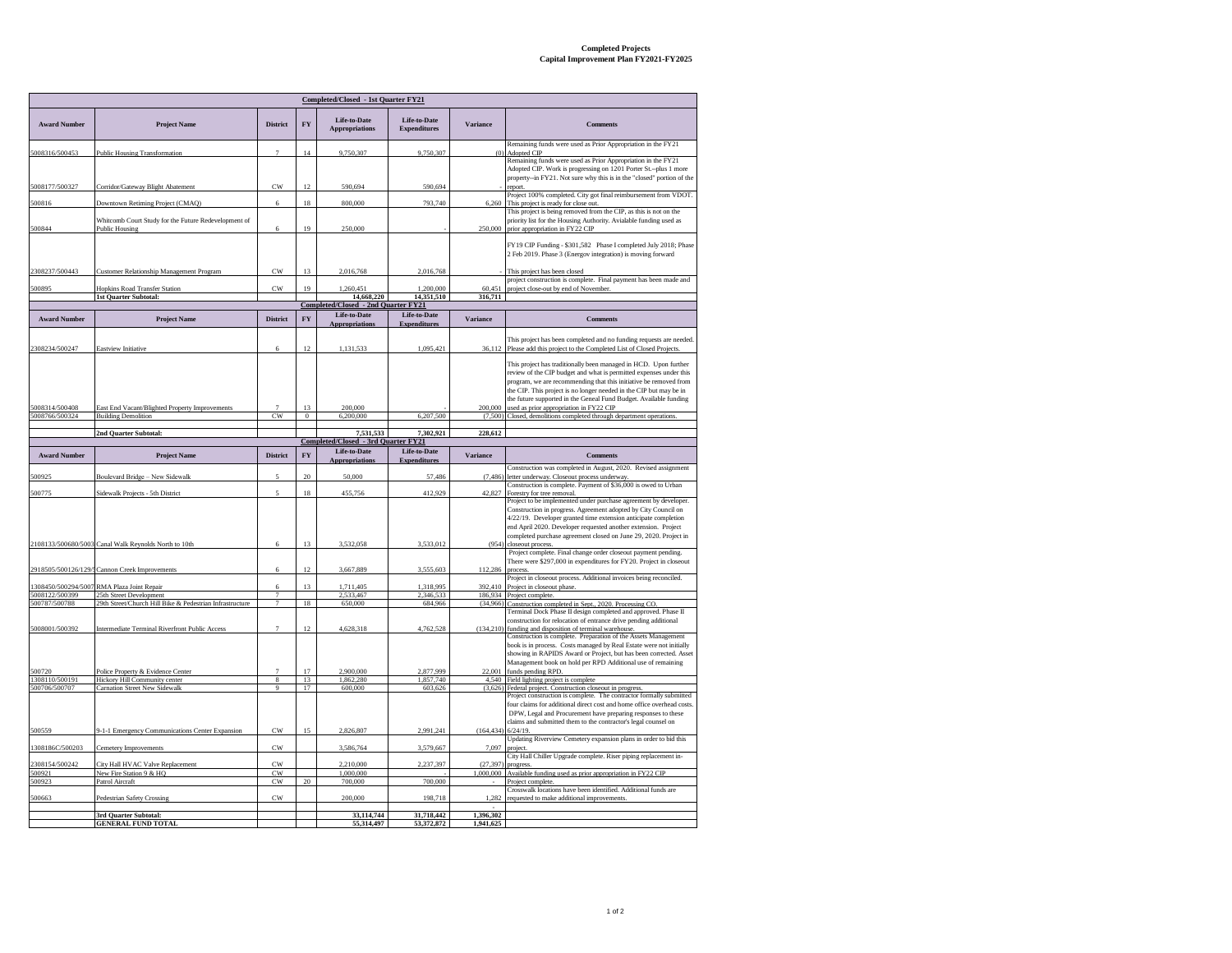## **Completed Projects Capital Improvement Plan FY2021-FY2025**

| <b>Completed/Closed - 1st Quarter FY21</b> |                                                                                     |                                  |                      |                                                   |                                     |                 |                                                                                                                                                                                                                                                                                                                                                        |  |  |  |  |
|--------------------------------------------|-------------------------------------------------------------------------------------|----------------------------------|----------------------|---------------------------------------------------|-------------------------------------|-----------------|--------------------------------------------------------------------------------------------------------------------------------------------------------------------------------------------------------------------------------------------------------------------------------------------------------------------------------------------------------|--|--|--|--|
| <b>Award Number</b>                        | <b>Project Name</b>                                                                 | <b>District</b>                  | <b>FY</b>            | Life-to-Date<br><b>Appropriations</b>             | Life-to-Date<br><b>Expenditures</b> | <b>Variance</b> | <b>Comments</b>                                                                                                                                                                                                                                                                                                                                        |  |  |  |  |
| 5008316/500453                             | <b>Public Housing Transformation</b>                                                | $\overline{7}$                   | 14                   | 9,750,307                                         | 9,750,307                           | (0)             | Remaining funds were used as Prior Appropriation in the FY21<br>Adopted CIP                                                                                                                                                                                                                                                                            |  |  |  |  |
| 5008177/500327                             | Corridor/Gateway Blight Abatement                                                   | CW                               | 12                   | 590,694                                           | 590.694                             |                 | Remaining funds were used as Prior Appropriation in the FY21<br>Adopted CIP. Work is progressing on 1201 Porter St.-plus 1 more<br>property--in FY21. Not sure why this is in the "closed" portion of the<br>report.                                                                                                                                   |  |  |  |  |
| 500816                                     | Downtown Retiming Project (CMAQ)                                                    | 6                                | 18                   | 800,000                                           | 793,740                             | 6,260           | Project 100% completed. City got final reimbursement from VDOT.<br>This project is ready for close out.                                                                                                                                                                                                                                                |  |  |  |  |
| 500844                                     | Whitcomb Court Study for the Future Redevelopment of<br>Public Housing              | 6                                | 19                   | 250,000                                           |                                     | 250,000         | This project is being removed from the CIP, as this is not on the<br>priority list for the Housing Authority. Avialable funding used as<br>prior appropriation in FY22 CIP                                                                                                                                                                             |  |  |  |  |
|                                            |                                                                                     |                                  |                      |                                                   |                                     |                 | FY19 CIP Funding - \$301,582 Phase I completed July 2018; Phase<br>2 Feb 2019. Phase 3 (Energov integration) is moving forward                                                                                                                                                                                                                         |  |  |  |  |
| 2308237/500443                             | Customer Relationship Management Program                                            | $_{\rm CW}$                      | 13                   | 2.016.768                                         | 2,016,768                           |                 | This project has been closed                                                                                                                                                                                                                                                                                                                           |  |  |  |  |
| 500895                                     | Hopkins Road Transfer Station                                                       | $_{\text{CW}}$                   | 19                   | 1.260.451                                         | 1,200,000                           | 60.45           | project construction is complete. Final payment has been made and<br>project close-out by end of Novembe                                                                                                                                                                                                                                               |  |  |  |  |
|                                            | <b>1st Quarter Subtotal:</b>                                                        |                                  |                      | 14.668.220<br>Completed/Closed - 2nd Quarter FY21 | 14.351.510                          | 316.711         |                                                                                                                                                                                                                                                                                                                                                        |  |  |  |  |
| <b>Award Number</b>                        | <b>Project Name</b>                                                                 | <b>District</b>                  | FY                   | Life-to-Date                                      | Life-to-Date                        | <b>Variance</b> | <b>Comments</b>                                                                                                                                                                                                                                                                                                                                        |  |  |  |  |
|                                            |                                                                                     |                                  |                      | <b>Appropriations</b>                             | <b>Expenditures</b>                 |                 |                                                                                                                                                                                                                                                                                                                                                        |  |  |  |  |
| 2308234/500247                             | Eastview Initiative                                                                 | 6                                | 12                   | 1,131,533                                         | 1,095,421                           | 36,112          | This project has been completed and no funding requests are needed.<br>Please add this project to the Completed List of Closed Projects.                                                                                                                                                                                                               |  |  |  |  |
|                                            |                                                                                     |                                  |                      |                                                   |                                     |                 | This project has traditionally been managed in HCD. Upon further<br>review of the CIP budget and what is permitted expenses under this<br>program, we are recommending that this initiative be removed from<br>the CIP. This project is no longer needed in the CIP but may be in<br>the future supported in the Geneal Fund Budget. Available funding |  |  |  |  |
| 5008314/500408<br>5008766/500324           | East End Vacant/Blighted Property Improvements<br><b>Building Demolition</b>        | CW                               | 13<br>$\overline{0}$ | 200,000<br>6,200,000                              | 6,207,500                           | 200,000         | used as prior appropriation in FY22 CIP<br>(7,500) Closed, demolitions completed through department operations.                                                                                                                                                                                                                                        |  |  |  |  |
|                                            |                                                                                     |                                  |                      |                                                   |                                     |                 |                                                                                                                                                                                                                                                                                                                                                        |  |  |  |  |
|                                            | 2nd Quarter Subtotal:                                                               |                                  |                      | 7.531.533<br>Completed/Closed - 3rd Quarter FY21  | 7.302.921                           | 228,612         |                                                                                                                                                                                                                                                                                                                                                        |  |  |  |  |
| <b>Award Number</b>                        | <b>Project Name</b>                                                                 | <b>District</b>                  | FY                   | Life-to-Date<br><b>s</b> upercorriation           | Life-to-Date<br><b>Expenditures</b> | <b>Variance</b> | <b>Comments</b><br>Construction was completed in August, 2020. Revised assignment                                                                                                                                                                                                                                                                      |  |  |  |  |
| 500925                                     | Boulevard Bridge - New Sidewalk                                                     | 5                                | $20\,$               | 50,000                                            | 57,486                              | (7, 486)        | letter underway. Closeout process underway.                                                                                                                                                                                                                                                                                                            |  |  |  |  |
| 500775                                     | Sidewalk Projects - 5th District                                                    | $\overline{\phantom{a}}$         | 18                   | 455,756                                           | 412,929                             | 42,827          | Construction is complete. Payment of \$36,000 is owed to Urban<br>Forestry for tree removal.                                                                                                                                                                                                                                                           |  |  |  |  |
|                                            | 2108133/500680/5003 Canal Walk Reynolds North to 10th                               | 6                                | 13                   | 3.532.058                                         | 3,533,012                           | (954)           | Project to be implemented under purchase agreement by developer.<br>Construction in progress. Agreement adopted by City Council on<br>4/22/19. Developer granted time extension anticipate completion<br>end April 2020. Developer requested another extension. Project<br>completed purchase agreement closed on June 29, 2020. Project in            |  |  |  |  |
|                                            |                                                                                     |                                  |                      |                                                   |                                     |                 | closeout process.<br>Project complete. Final change order closeout payment pending.                                                                                                                                                                                                                                                                    |  |  |  |  |
|                                            | 2918505/500126/129/ Cannon Creek Improvements                                       | 6                                | 12                   | 3,667,889                                         | 3,555,603                           | 112,286         | There were \$297,000 in expenditures for FY20. Project in closeout<br>process<br>Project in closeout process. Additional invoices being reconciled.                                                                                                                                                                                                    |  |  |  |  |
| 1308450/500294/5007                        | RMA Plaza Joint Repair                                                              | 6                                | 13                   | 1,711,405                                         | 1,318,995                           | 392,410         | Project in closeout phase                                                                                                                                                                                                                                                                                                                              |  |  |  |  |
| 5008122/500399<br>500787/500788            | 25th Street Development<br>29th Street/Church Hill Bike & Pedestrian Infrastructure | $\overline{7}$<br>$\overline{7}$ | 18                   | 2.533.467<br>650,000                              | 2.346.533<br>684,966                | (34,966)        | 186,934 Project complete<br>Construction completed in Sept., 2020. Processing CO                                                                                                                                                                                                                                                                       |  |  |  |  |
|                                            |                                                                                     |                                  |                      |                                                   |                                     |                 | Terminal Dock Phase II design completed and approved. Phase II<br>construction for relocation of entrance drive pending additional                                                                                                                                                                                                                     |  |  |  |  |
| 5008001/500392                             | Intermediate Terminal Riverfront Public Access                                      | $\overline{7}$                   | 12                   | 4.628.318                                         | 4.762.528                           | (134, 210)      | funding and disposition of terminal warehouse.<br>Construction is complete. Preparation of the Assets Management<br>book is in process. Costs managed by Real Estate were not initially<br>showing in RAPIDS Award or Project, but has been corrected. Asset<br>Management book on hold per RPD Additional use of remaining                            |  |  |  |  |
| 500720<br>1308110/500191                   | Police Property & Evidence Center<br>Hickory Hill Community center                  | $\overline{7}$<br>8              | 17<br>13             | 2.900.000<br>1,862,280                            | 2.877.999<br>1,857,740              | 22.001<br>4,540 | funds pending RPD.<br>Field lighting project is complete                                                                                                                                                                                                                                                                                               |  |  |  |  |
| 500706/500707                              | Carnation Street New Sidewalk                                                       | $\overline{Q}$                   | 17                   | 600,000                                           | 603.626                             | (3,626)         | Federal project. Construction closeout in progress                                                                                                                                                                                                                                                                                                     |  |  |  |  |
| 500559                                     | 9-1-1 Emergency Communications Center Expansion                                     | CW                               | 15                   | 2,826,807                                         | 2,991,241                           | (164, 434)      | Project construction is complete. The contractor formally submitted<br>four claims for additional direct cost and home office overhead costs.<br>DPW, Legal and Procurement have preparing responses to these<br>claims and submitted them to the contractor's legal counsel on<br>6/24/19                                                             |  |  |  |  |
| 1308186C/500203                            | Cemetery Improvements                                                               | $_{\rm CW}$                      |                      | 3,586,764                                         | 3,579,667                           | 7.097           | Updating Riverview Cemetery expansion plans in order to bid this<br>project                                                                                                                                                                                                                                                                            |  |  |  |  |
|                                            | City Hall HVAC Valve Replacement                                                    | CW                               |                      | 2.210.000                                         | 2,237,397                           | (27, 397)       | City Hall Chiller Upgrade complete. Riser piping replacement in-<br>progress                                                                                                                                                                                                                                                                           |  |  |  |  |
| 2308154/500242<br>500921                   | New Fire Station 9 & HQ                                                             | CW                               | 20                   | 1,000,000<br>700.000                              | 700,000                             | 1,000,000       | Available funding used as prior appropriation in FY22 CIF                                                                                                                                                                                                                                                                                              |  |  |  |  |
| 500923                                     |                                                                                     |                                  |                      |                                                   |                                     |                 | Project complete                                                                                                                                                                                                                                                                                                                                       |  |  |  |  |
|                                            | Patrol Aircraft                                                                     | CW<br>CW                         |                      | 200.000                                           | 198.718                             | 1.283           | Crosswalk locations have been identified. Additional funds are                                                                                                                                                                                                                                                                                         |  |  |  |  |
| 500663                                     | Pedestrian Safety Crossing<br>3rd Quarter Subtotal:                                 |                                  |                      | 33,114,744                                        | 31,718,442                          | 1,396,302       | requested to make additional improvements                                                                                                                                                                                                                                                                                                              |  |  |  |  |